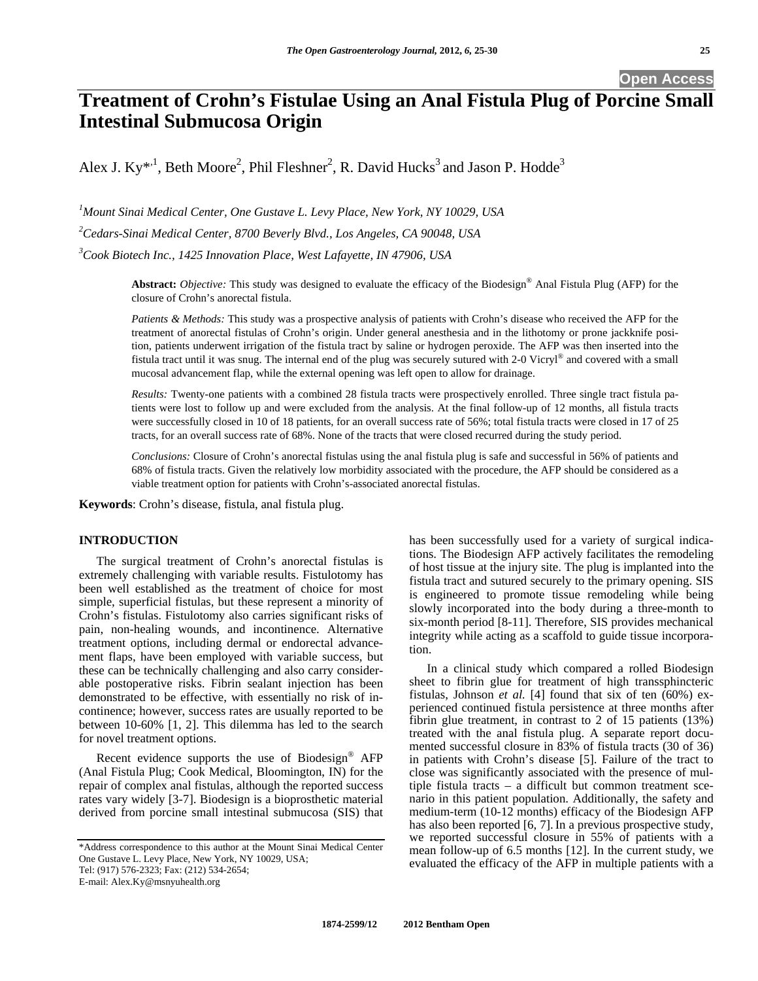**Open Access** 

# **Treatment of Crohn's Fistulae Using an Anal Fistula Plug of Porcine Small Intestinal Submucosa Origin**

Alex J. Ky<sup>\*,1</sup>, Beth Moore<sup>2</sup>, Phil Fleshner<sup>2</sup>, R. David Hucks<sup>3</sup> and Jason P. Hodde<sup>3</sup>

*1 Mount Sinai Medical Center, One Gustave L. Levy Place, New York, NY 10029, USA* 

*2 Cedars-Sinai Medical Center, 8700 Beverly Blvd., Los Angeles, CA 90048, USA* 

*3 Cook Biotech Inc., 1425 Innovation Place, West Lafayette, IN 47906, USA* 

**Abstract:** *Objective:* This study was designed to evaluate the efficacy of the Biodesign® Anal Fistula Plug (AFP) for the closure of Crohn's anorectal fistula.

*Patients & Methods:* This study was a prospective analysis of patients with Crohn's disease who received the AFP for the treatment of anorectal fistulas of Crohn's origin. Under general anesthesia and in the lithotomy or prone jackknife position, patients underwent irrigation of the fistula tract by saline or hydrogen peroxide. The AFP was then inserted into the fistula tract until it was snug. The internal end of the plug was securely sutured with 2-0 Vicryl® and covered with a small mucosal advancement flap, while the external opening was left open to allow for drainage.

*Results:* Twenty-one patients with a combined 28 fistula tracts were prospectively enrolled. Three single tract fistula patients were lost to follow up and were excluded from the analysis. At the final follow-up of 12 months, all fistula tracts were successfully closed in 10 of 18 patients, for an overall success rate of 56%; total fistula tracts were closed in 17 of 25 tracts, for an overall success rate of 68%. None of the tracts that were closed recurred during the study period.

*Conclusions:* Closure of Crohn's anorectal fistulas using the anal fistula plug is safe and successful in 56% of patients and 68% of fistula tracts. Given the relatively low morbidity associated with the procedure, the AFP should be considered as a viable treatment option for patients with Crohn's-associated anorectal fistulas.

**Keywords**: Crohn's disease, fistula, anal fistula plug.

# **INTRODUCTION**

 The surgical treatment of Crohn's anorectal fistulas is extremely challenging with variable results. Fistulotomy has been well established as the treatment of choice for most simple, superficial fistulas, but these represent a minority of Crohn's fistulas. Fistulotomy also carries significant risks of pain, non-healing wounds, and incontinence. Alternative treatment options, including dermal or endorectal advancement flaps, have been employed with variable success, but these can be technically challenging and also carry considerable postoperative risks. Fibrin sealant injection has been demonstrated to be effective, with essentially no risk of incontinence; however, success rates are usually reported to be between 10-60% [1, 2]. This dilemma has led to the search for novel treatment options.

 Recent evidence supports the use of Biodesign® AFP (Anal Fistula Plug; Cook Medical, Bloomington, IN) for the repair of complex anal fistulas, although the reported success rates vary widely [3-7]. Biodesign is a bioprosthetic material derived from porcine small intestinal submucosa (SIS) that

\*Address correspondence to this author at the Mount Sinai Medical Center One Gustave L. Levy Place, New York, NY 10029, USA; Tel: (917) 576-2323; Fax: (212) 534-2654; E-mail: Alex.Ky@msnyuhealth.org

has been successfully used for a variety of surgical indications. The Biodesign AFP actively facilitates the remodeling of host tissue at the injury site. The plug is implanted into the fistula tract and sutured securely to the primary opening. SIS is engineered to promote tissue remodeling while being slowly incorporated into the body during a three-month to six-month period [8-11]. Therefore, SIS provides mechanical integrity while acting as a scaffold to guide tissue incorporation.

 In a clinical study which compared a rolled Biodesign sheet to fibrin glue for treatment of high transsphincteric fistulas, Johnson *et al.* [4] found that six of ten (60%) experienced continued fistula persistence at three months after fibrin glue treatment, in contrast to 2 of 15 patients (13%) treated with the anal fistula plug. A separate report documented successful closure in 83% of fistula tracts (30 of 36) in patients with Crohn's disease [5]. Failure of the tract to close was significantly associated with the presence of multiple fistula tracts – a difficult but common treatment scenario in this patient population. Additionally, the safety and medium-term (10-12 months) efficacy of the Biodesign AFP has also been reported [6, 7]. In a previous prospective study, we reported successful closure in 55% of patients with a mean follow-up of 6.5 months [12]. In the current study, we evaluated the efficacy of the AFP in multiple patients with a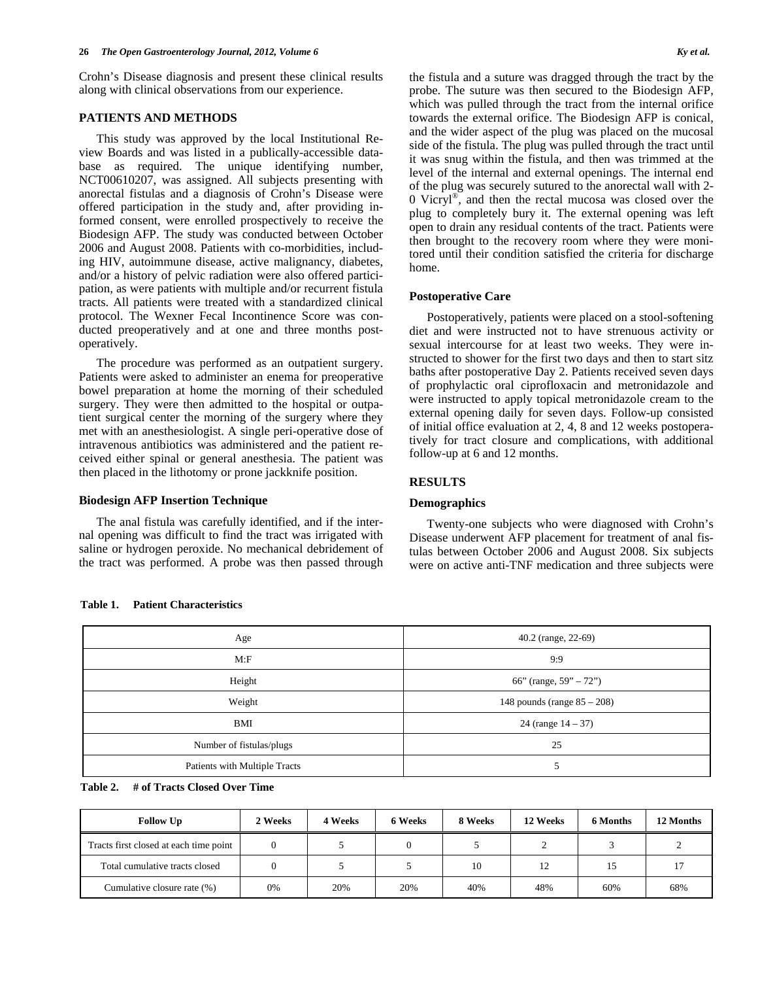Crohn's Disease diagnosis and present these clinical results along with clinical observations from our experience.

### **PATIENTS AND METHODS**

 This study was approved by the local Institutional Review Boards and was listed in a publically-accessible database as required. The unique identifying number, NCT00610207, was assigned. All subjects presenting with anorectal fistulas and a diagnosis of Crohn's Disease were offered participation in the study and, after providing informed consent, were enrolled prospectively to receive the Biodesign AFP. The study was conducted between October 2006 and August 2008. Patients with co-morbidities, including HIV, autoimmune disease, active malignancy, diabetes, and/or a history of pelvic radiation were also offered participation, as were patients with multiple and/or recurrent fistula tracts. All patients were treated with a standardized clinical protocol. The Wexner Fecal Incontinence Score was conducted preoperatively and at one and three months postoperatively.

 The procedure was performed as an outpatient surgery. Patients were asked to administer an enema for preoperative bowel preparation at home the morning of their scheduled surgery. They were then admitted to the hospital or outpatient surgical center the morning of the surgery where they met with an anesthesiologist. A single peri-operative dose of intravenous antibiotics was administered and the patient received either spinal or general anesthesia. The patient was then placed in the lithotomy or prone jackknife position.

### **Biodesign AFP Insertion Technique**

 The anal fistula was carefully identified, and if the internal opening was difficult to find the tract was irrigated with saline or hydrogen peroxide. No mechanical debridement of the tract was performed. A probe was then passed through

the fistula and a suture was dragged through the tract by the probe. The suture was then secured to the Biodesign AFP, which was pulled through the tract from the internal orifice towards the external orifice. The Biodesign AFP is conical, and the wider aspect of the plug was placed on the mucosal side of the fistula. The plug was pulled through the tract until it was snug within the fistula, and then was trimmed at the level of the internal and external openings. The internal end of the plug was securely sutured to the anorectal wall with 2- 0 Vicryl®, and then the rectal mucosa was closed over the plug to completely bury it. The external opening was left open to drain any residual contents of the tract. Patients were then brought to the recovery room where they were monitored until their condition satisfied the criteria for discharge home.

### **Postoperative Care**

 Postoperatively, patients were placed on a stool-softening diet and were instructed not to have strenuous activity or sexual intercourse for at least two weeks. They were instructed to shower for the first two days and then to start sitz baths after postoperative Day 2. Patients received seven days of prophylactic oral ciprofloxacin and metronidazole and were instructed to apply topical metronidazole cream to the external opening daily for seven days. Follow-up consisted of initial office evaluation at 2, 4, 8 and 12 weeks postoperatively for tract closure and complications, with additional follow-up at 6 and 12 months.

### **RESULTS**

### **Demographics**

 Twenty-one subjects who were diagnosed with Crohn's Disease underwent AFP placement for treatment of anal fistulas between October 2006 and August 2008. Six subjects were on active anti-TNF medication and three subjects were

| Age                           | 40.2 (range, 22-69)            |  |
|-------------------------------|--------------------------------|--|
| M: F                          | 9:9                            |  |
| Height                        | 66" (range, $59" - 72"$ )      |  |
| Weight                        | 148 pounds (range $85 - 208$ ) |  |
| BMI                           | 24 (range $14 - 37$ )          |  |
| Number of fistulas/plugs      | 25                             |  |
| Patients with Multiple Tracts |                                |  |

# **Table 1. Patient Characteristics**

| Table 2.<br># of Tracts Closed Over Time |  |
|------------------------------------------|--|
|------------------------------------------|--|

| <b>Follow Up</b>                       | 2 Weeks | 4 Weeks | 6 Weeks | 8 Weeks | 12 Weeks     | 6 Months | 12 Months |
|----------------------------------------|---------|---------|---------|---------|--------------|----------|-----------|
| Tracts first closed at each time point |         |         |         |         |              |          |           |
| Total cumulative tracts closed         |         |         |         | 10      | $\mathbf{1}$ |          |           |
| Cumulative closure rate (%)            | 0%      | 20%     | 20%     | 40%     | 48%          | 60%      | 68%       |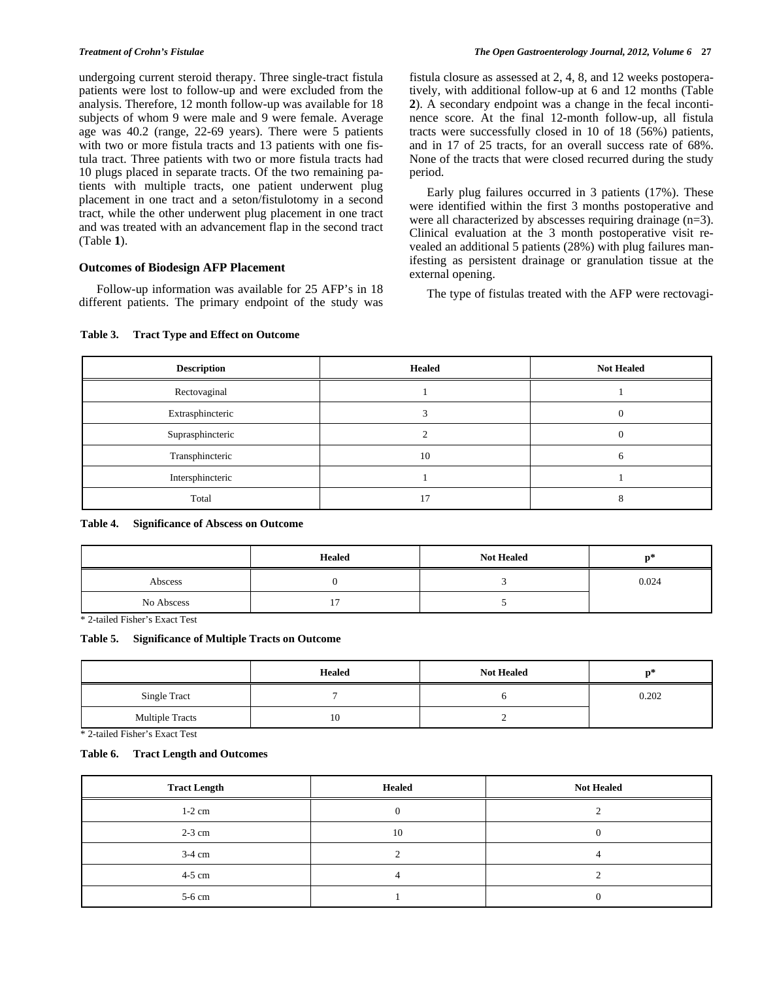undergoing current steroid therapy. Three single-tract fistula patients were lost to follow-up and were excluded from the analysis. Therefore, 12 month follow-up was available for 18 subjects of whom 9 were male and 9 were female. Average age was 40.2 (range, 22-69 years). There were 5 patients with two or more fistula tracts and 13 patients with one fistula tract. Three patients with two or more fistula tracts had 10 plugs placed in separate tracts. Of the two remaining patients with multiple tracts, one patient underwent plug placement in one tract and a seton/fistulotomy in a second tract, while the other underwent plug placement in one tract and was treated with an advancement flap in the second tract (Table **1**).

# **Outcomes of Biodesign AFP Placement**

 Follow-up information was available for 25 AFP's in 18 different patients. The primary endpoint of the study was fistula closure as assessed at 2, 4, 8, and 12 weeks postoperatively, with additional follow-up at 6 and 12 months (Table **2**). A secondary endpoint was a change in the fecal incontinence score. At the final 12-month follow-up, all fistula tracts were successfully closed in 10 of 18 (56%) patients, and in 17 of 25 tracts, for an overall success rate of 68%. None of the tracts that were closed recurred during the study period.

 Early plug failures occurred in 3 patients (17%). These were identified within the first 3 months postoperative and were all characterized by abscesses requiring drainage (n=3). Clinical evaluation at the 3 month postoperative visit revealed an additional 5 patients (28%) with plug failures manifesting as persistent drainage or granulation tissue at the external opening.

The type of fistulas treated with the AFP were rectovagi-

# **Table 3. Tract Type and Effect on Outcome**

| <b>Description</b> | <b>Healed</b> | <b>Not Healed</b> |
|--------------------|---------------|-------------------|
| Rectovaginal       |               |                   |
| Extrasphincteric   |               |                   |
| Suprasphincteric   |               |                   |
| Transphincteric    | 10            |                   |
| Intersphincteric   |               |                   |
| Total              | 17            |                   |

**Table 4. Significance of Abscess on Outcome** 

|            | <b>Healed</b> | <b>Not Healed</b> | n٠    |
|------------|---------------|-------------------|-------|
| Abscess    |               |                   | 0.024 |
| No Abscess | -             |                   |       |

\* 2-tailed Fisher's Exact Test

### **Table 5. Significance of Multiple Tracts on Outcome**

|                        | <b>Healed</b> | <b>Not Healed</b> | n.    |
|------------------------|---------------|-------------------|-------|
| Single Tract           |               |                   | 0.202 |
| <b>Multiple Tracts</b> | 10            |                   |       |

\* 2-tailed Fisher's Exact Test

### **Table 6. Tract Length and Outcomes**

| <b>Tract Length</b> | <b>Healed</b> | <b>Not Healed</b> |
|---------------------|---------------|-------------------|
| $1-2$ cm            |               |                   |
| $2-3$ cm            | 10            |                   |
| $3-4$ cm            |               |                   |
| $4-5$ cm            |               |                   |
| 5-6 cm              |               |                   |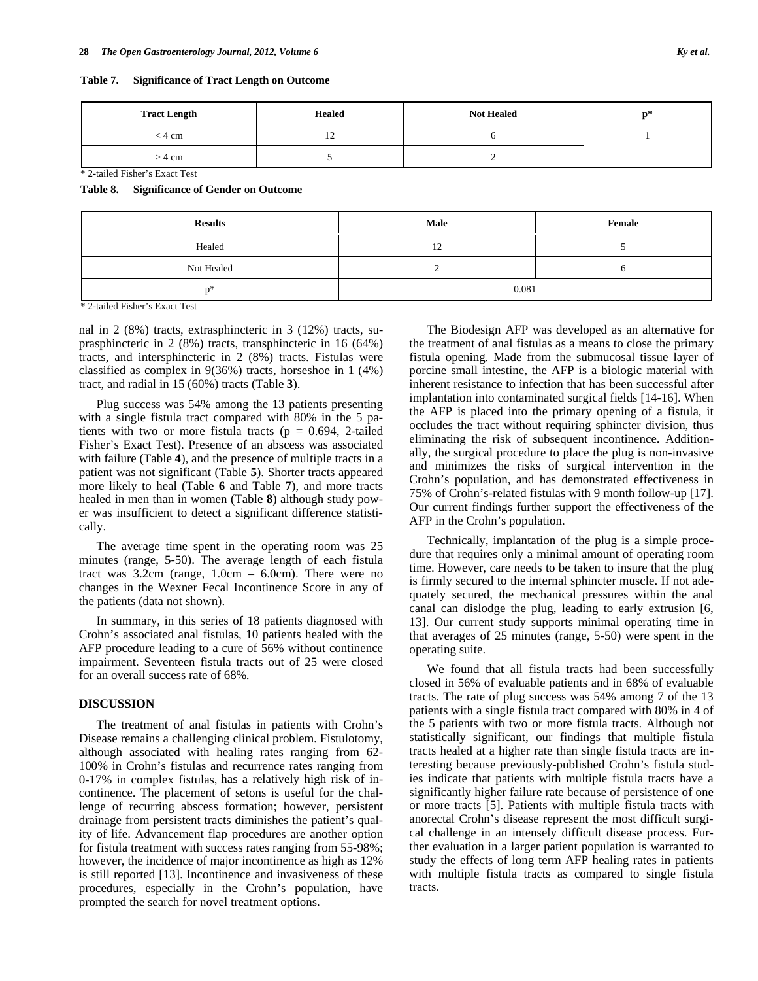| Table 7. | <b>Significance of Tract Length on Outcome</b> |  |  |  |
|----------|------------------------------------------------|--|--|--|
|----------|------------------------------------------------|--|--|--|

| <b>Tract Length</b> | <b>Healed</b> | <b>Not Healed</b> | n* |
|---------------------|---------------|-------------------|----|
| < 4 cm              |               |                   |    |
| > 4 cm              |               |                   |    |

\* 2-tailed Fisher's Exact Test

**Table 8. Significance of Gender on Outcome** 

| <b>Results</b> | Male  | Female |  |
|----------------|-------|--------|--|
| Healed         | 12    |        |  |
| Not Healed     |       |        |  |
| 地理             | 0.081 |        |  |

\* 2-tailed Fisher's Exact Test

nal in 2 (8%) tracts, extrasphincteric in 3 (12%) tracts, suprasphincteric in 2 (8%) tracts, transphincteric in 16 (64%) tracts, and intersphincteric in 2 (8%) tracts. Fistulas were classified as complex in 9(36%) tracts, horseshoe in 1 (4%) tract, and radial in 15 (60%) tracts (Table **3**).

 Plug success was 54% among the 13 patients presenting with a single fistula tract compared with 80% in the 5 patients with two or more fistula tracts ( $p = 0.694$ , 2-tailed Fisher's Exact Test). Presence of an abscess was associated with failure (Table **4**), and the presence of multiple tracts in a patient was not significant (Table **5**). Shorter tracts appeared more likely to heal (Table **6** and Table **7**), and more tracts healed in men than in women (Table **8**) although study power was insufficient to detect a significant difference statistically.

 The average time spent in the operating room was 25 minutes (range, 5-50). The average length of each fistula tract was  $3.2cm$  (range,  $1.0cm - 6.0cm$ ). There were no changes in the Wexner Fecal Incontinence Score in any of the patients (data not shown).

 In summary, in this series of 18 patients diagnosed with Crohn's associated anal fistulas, 10 patients healed with the AFP procedure leading to a cure of 56% without continence impairment. Seventeen fistula tracts out of 25 were closed for an overall success rate of 68%*.*

### **DISCUSSION**

 The treatment of anal fistulas in patients with Crohn's Disease remains a challenging clinical problem. Fistulotomy, although associated with healing rates ranging from 62- 100% in Crohn's fistulas and recurrence rates ranging from 0-17% in complex fistulas, has a relatively high risk of incontinence. The placement of setons is useful for the challenge of recurring abscess formation; however, persistent drainage from persistent tracts diminishes the patient's quality of life. Advancement flap procedures are another option for fistula treatment with success rates ranging from 55-98%; however, the incidence of major incontinence as high as 12% is still reported [13]. Incontinence and invasiveness of these procedures, especially in the Crohn's population, have prompted the search for novel treatment options.

 The Biodesign AFP was developed as an alternative for the treatment of anal fistulas as a means to close the primary fistula opening. Made from the submucosal tissue layer of porcine small intestine, the AFP is a biologic material with inherent resistance to infection that has been successful after implantation into contaminated surgical fields [14-16]. When the AFP is placed into the primary opening of a fistula, it occludes the tract without requiring sphincter division, thus eliminating the risk of subsequent incontinence. Additionally, the surgical procedure to place the plug is non-invasive and minimizes the risks of surgical intervention in the Crohn's population, and has demonstrated effectiveness in 75% of Crohn's-related fistulas with 9 month follow-up [17]. Our current findings further support the effectiveness of the AFP in the Crohn's population.

 Technically, implantation of the plug is a simple procedure that requires only a minimal amount of operating room time. However, care needs to be taken to insure that the plug is firmly secured to the internal sphincter muscle. If not adequately secured, the mechanical pressures within the anal canal can dislodge the plug, leading to early extrusion [6, 13]. Our current study supports minimal operating time in that averages of 25 minutes (range, 5-50) were spent in the operating suite.

 We found that all fistula tracts had been successfully closed in 56% of evaluable patients and in 68% of evaluable tracts. The rate of plug success was 54% among 7 of the 13 patients with a single fistula tract compared with 80% in 4 of the 5 patients with two or more fistula tracts. Although not statistically significant, our findings that multiple fistula tracts healed at a higher rate than single fistula tracts are interesting because previously-published Crohn's fistula studies indicate that patients with multiple fistula tracts have a significantly higher failure rate because of persistence of one or more tracts [5]. Patients with multiple fistula tracts with anorectal Crohn's disease represent the most difficult surgical challenge in an intensely difficult disease process. Further evaluation in a larger patient population is warranted to study the effects of long term AFP healing rates in patients with multiple fistula tracts as compared to single fistula tracts.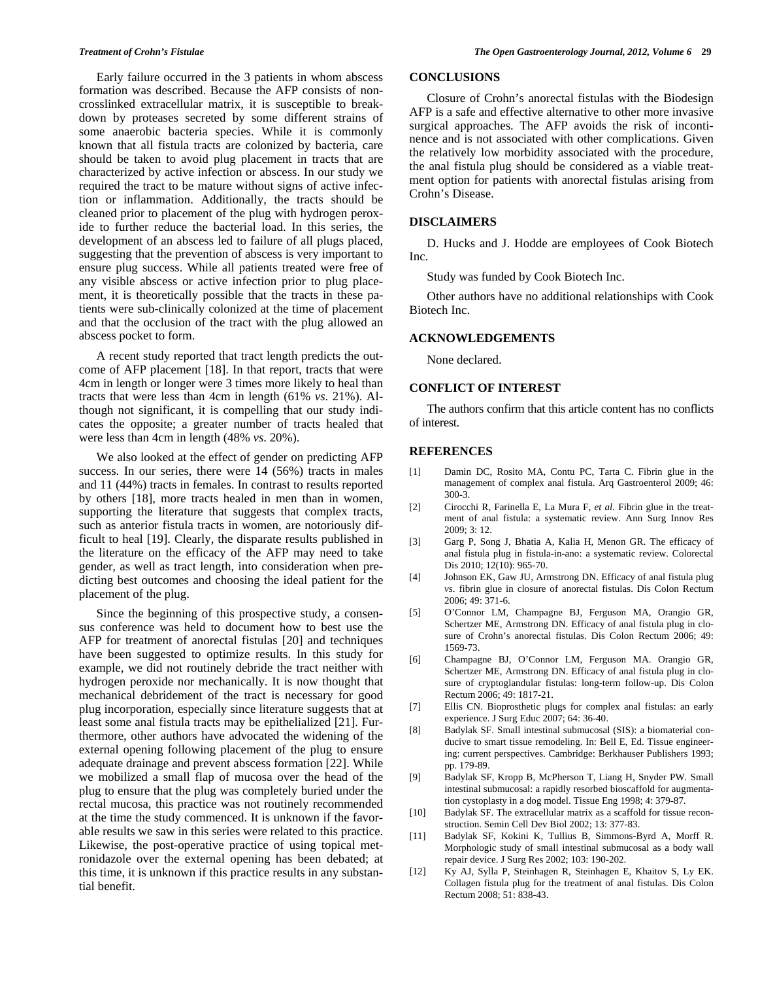Early failure occurred in the 3 patients in whom abscess formation was described. Because the AFP consists of noncrosslinked extracellular matrix, it is susceptible to breakdown by proteases secreted by some different strains of some anaerobic bacteria species. While it is commonly known that all fistula tracts are colonized by bacteria, care should be taken to avoid plug placement in tracts that are characterized by active infection or abscess. In our study we required the tract to be mature without signs of active infection or inflammation. Additionally, the tracts should be cleaned prior to placement of the plug with hydrogen peroxide to further reduce the bacterial load. In this series, the development of an abscess led to failure of all plugs placed, suggesting that the prevention of abscess is very important to ensure plug success. While all patients treated were free of any visible abscess or active infection prior to plug placement, it is theoretically possible that the tracts in these patients were sub-clinically colonized at the time of placement and that the occlusion of the tract with the plug allowed an abscess pocket to form.

 A recent study reported that tract length predicts the outcome of AFP placement [18]. In that report, tracts that were 4cm in length or longer were 3 times more likely to heal than tracts that were less than 4cm in length (61% *vs*. 21%). Although not significant, it is compelling that our study indicates the opposite; a greater number of tracts healed that were less than 4cm in length (48% *vs*. 20%).

 We also looked at the effect of gender on predicting AFP success. In our series, there were 14 (56%) tracts in males and 11 (44%) tracts in females. In contrast to results reported by others [18], more tracts healed in men than in women, supporting the literature that suggests that complex tracts, such as anterior fistula tracts in women, are notoriously difficult to heal [19]. Clearly, the disparate results published in the literature on the efficacy of the AFP may need to take gender, as well as tract length, into consideration when predicting best outcomes and choosing the ideal patient for the placement of the plug.

 Since the beginning of this prospective study, a consensus conference was held to document how to best use the AFP for treatment of anorectal fistulas [20] and techniques have been suggested to optimize results. In this study for example, we did not routinely debride the tract neither with hydrogen peroxide nor mechanically. It is now thought that mechanical debridement of the tract is necessary for good plug incorporation, especially since literature suggests that at least some anal fistula tracts may be epithelialized [21]. Furthermore, other authors have advocated the widening of the external opening following placement of the plug to ensure adequate drainage and prevent abscess formation [22]. While we mobilized a small flap of mucosa over the head of the plug to ensure that the plug was completely buried under the rectal mucosa, this practice was not routinely recommended at the time the study commenced. It is unknown if the favorable results we saw in this series were related to this practice. Likewise, the post-operative practice of using topical metronidazole over the external opening has been debated; at this time, it is unknown if this practice results in any substantial benefit.

### **CONCLUSIONS**

 Closure of Crohn's anorectal fistulas with the Biodesign AFP is a safe and effective alternative to other more invasive surgical approaches. The AFP avoids the risk of incontinence and is not associated with other complications. Given the relatively low morbidity associated with the procedure, the anal fistula plug should be considered as a viable treatment option for patients with anorectal fistulas arising from Crohn's Disease.

### **DISCLAIMERS**

 D. Hucks and J. Hodde are employees of Cook Biotech Inc.

Study was funded by Cook Biotech Inc.

 Other authors have no additional relationships with Cook Biotech Inc.

### **ACKNOWLEDGEMENTS**

None declared.

# **CONFLICT OF INTEREST**

 The authors confirm that this article content has no conflicts of interest.

### **REFERENCES**

- [1] Damin DC, Rosito MA, Contu PC, Tarta C. Fibrin glue in the management of complex anal fistula. Arq Gastroenterol 2009; 46: 300-3.
- [2] Cirocchi R, Farinella E, La Mura F, *et al.* Fibrin glue in the treatment of anal fistula: a systematic review. Ann Surg Innov Res 2009; 3: 12.
- [3] Garg P, Song J, Bhatia A, Kalia H, Menon GR. The efficacy of anal fistula plug in fistula-in-ano: a systematic review. Colorectal Dis 2010; 12(10): 965-70.
- [4] Johnson EK, Gaw JU, Armstrong DN. Efficacy of anal fistula plug *vs*. fibrin glue in closure of anorectal fistulas. Dis Colon Rectum 2006; 49: 371-6.
- [5] O'Connor LM, Champagne BJ, Ferguson MA, Orangio GR, Schertzer ME, Armstrong DN. Efficacy of anal fistula plug in closure of Crohn's anorectal fistulas. Dis Colon Rectum 2006; 49: 1569-73.
- [6] Champagne BJ, O'Connor LM, Ferguson MA. Orangio GR, Schertzer ME, Armstrong DN. Efficacy of anal fistula plug in closure of cryptoglandular fistulas: long-term follow-up. Dis Colon Rectum 2006; 49: 1817-21.
- [7] Ellis CN. Bioprosthetic plugs for complex anal fistulas: an early experience. J Surg Educ 2007; 64: 36-40.
- [8] Badylak SF. Small intestinal submucosal (SIS): a biomaterial conducive to smart tissue remodeling. In: Bell E, Ed. Tissue engineering: current perspectives. Cambridge: Berkhauser Publishers 1993; pp. 179-89.
- [9] Badylak SF, Kropp B, McPherson T, Liang H, Snyder PW. Small intestinal submucosal: a rapidly resorbed bioscaffold for augmentation cystoplasty in a dog model. Tissue Eng 1998; 4: 379-87.
- [10] Badylak SF. The extracellular matrix as a scaffold for tissue reconstruction. Semin Cell Dev Biol 2002; 13: 377-83.
- [11] Badylak SF, Kokini K, Tullius B, Simmons-Byrd A, Morff R. Morphologic study of small intestinal submucosal as a body wall repair device. J Surg Res 2002; 103: 190-202.
- [12] Ky AJ, Sylla P, Steinhagen R, Steinhagen E, Khaitov S, Ly EK. Collagen fistula plug for the treatment of anal fistulas. Dis Colon Rectum 2008; 51: 838-43.